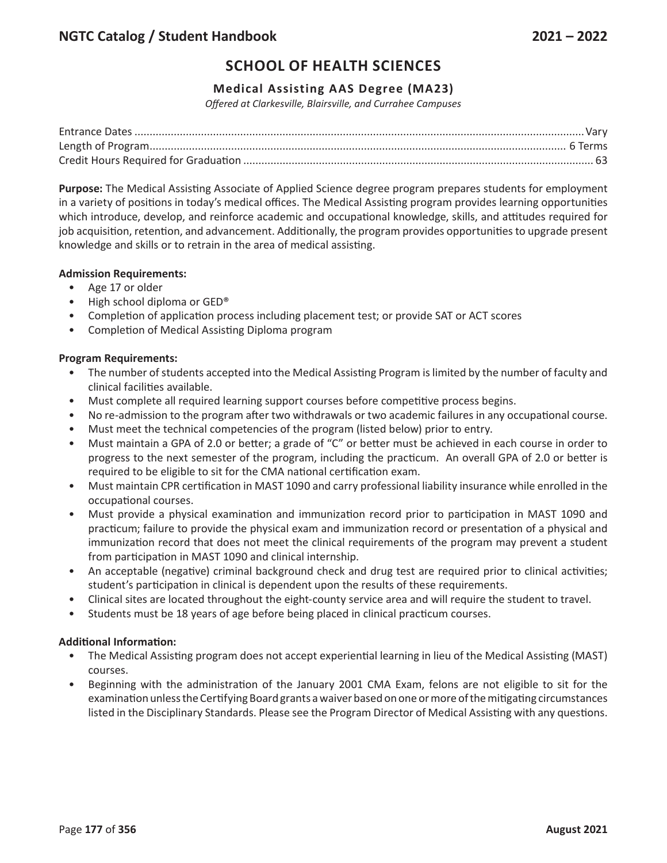### **Medical Assisting AAS Degree (MA23)**

*Offered at Clarkesville, Blairsville, and Currahee Campuses*

**Purpose:** The Medical Assisting Associate of Applied Science degree program prepares students for employment in a variety of positions in today's medical offices. The Medical Assisting program provides learning opportunities which introduce, develop, and reinforce academic and occupational knowledge, skills, and attitudes required for job acquisition, retention, and advancement. Additionally, the program provides opportunities to upgrade present knowledge and skills or to retrain in the area of medical assisting.

### **Admission Requirements:**

- Age 17 or older
- High school diploma or GED®
- Completion of application process including placement test; or provide SAT or ACT scores
- Completion of Medical Assisting Diploma program

### **Program Requirements:**

- The number of students accepted into the Medical Assisting Program is limited by the number of faculty and clinical facilities available.
- Must complete all required learning support courses before competitive process begins.
- No re-admission to the program after two withdrawals or two academic failures in any occupational course.
- Must meet the technical competencies of the program (listed below) prior to entry.
- Must maintain a GPA of 2.0 or better; a grade of "C" or better must be achieved in each course in order to progress to the next semester of the program, including the practicum. An overall GPA of 2.0 or better is required to be eligible to sit for the CMA national certification exam.
- Must maintain CPR certification in MAST 1090 and carry professional liability insurance while enrolled in the occupational courses.
- Must provide a physical examination and immunization record prior to participation in MAST 1090 and practicum; failure to provide the physical exam and immunization record or presentation of a physical and immunization record that does not meet the clinical requirements of the program may prevent a student from participation in MAST 1090 and clinical internship.
- An acceptable (negative) criminal background check and drug test are required prior to clinical activities; student's participation in clinical is dependent upon the results of these requirements.
- Clinical sites are located throughout the eight-county service area and will require the student to travel.
- Students must be 18 years of age before being placed in clinical practicum courses.

### **Additional Information:**

- The Medical Assisting program does not accept experiential learning in lieu of the Medical Assisting (MAST) courses.
- Beginning with the administration of the January 2001 CMA Exam, felons are not eligible to sit for the examination unless the Certifying Board grants a waiver based on one or more of the mitigating circumstances listed in the Disciplinary Standards. Please see the Program Director of Medical Assisting with any questions.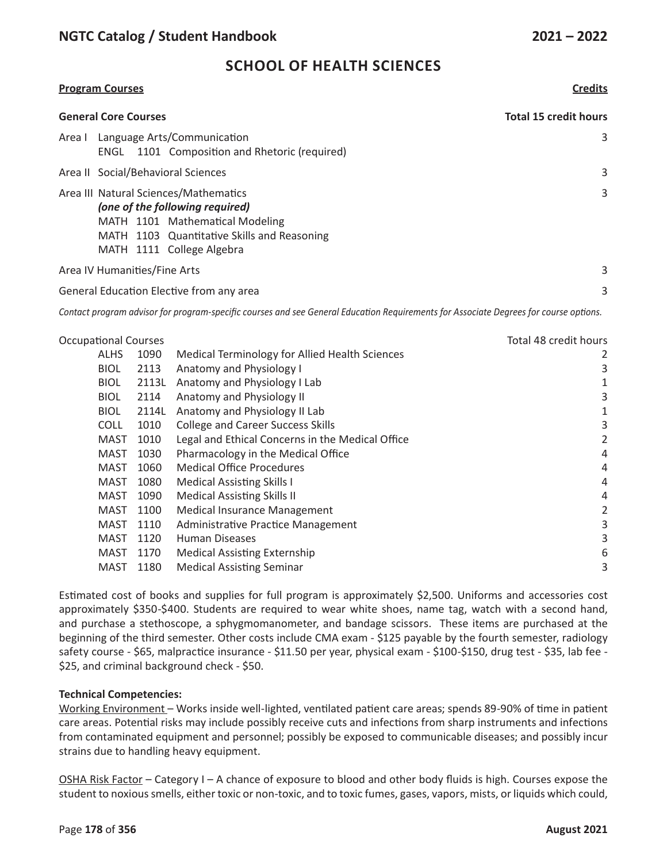### **Program Courses Credits**

| <b>General Core Courses</b>                                                                                                                                                             | <b>Total 15 credit hours</b> |  |  |
|-----------------------------------------------------------------------------------------------------------------------------------------------------------------------------------------|------------------------------|--|--|
| Language Arts/Communication<br>Area I<br>1101 Composition and Rhetoric (required)<br>ENGL                                                                                               | 3                            |  |  |
| Area II Social/Behavioral Sciences                                                                                                                                                      | 3                            |  |  |
| Area III Natural Sciences/Mathematics<br>(one of the following required)<br>MATH 1101 Mathematical Modeling<br>MATH 1103 Quantitative Skills and Reasoning<br>MATH 1111 College Algebra | 3                            |  |  |
| Area IV Humanities/Fine Arts                                                                                                                                                            | 3                            |  |  |
| General Education Elective from any area                                                                                                                                                |                              |  |  |

Contact program advisor for program-specific courses and see General Education Requirements for Associate Degrees for course options.

| <b>Occupational Courses</b> |             |       | Total 48 credit hours                            |   |
|-----------------------------|-------------|-------|--------------------------------------------------|---|
|                             | <b>ALHS</b> | 1090  | Medical Terminology for Allied Health Sciences   | 2 |
|                             | <b>BIOL</b> | 2113  | Anatomy and Physiology I                         | 3 |
|                             | <b>BIOL</b> | 2113L | Anatomy and Physiology I Lab                     | 1 |
|                             | <b>BIOL</b> | 2114  | Anatomy and Physiology II                        | 3 |
|                             | <b>BIOL</b> | 2114L | Anatomy and Physiology II Lab                    | 1 |
|                             | <b>COLL</b> | 1010  | <b>College and Career Success Skills</b>         | 3 |
|                             | <b>MAST</b> | 1010  | Legal and Ethical Concerns in the Medical Office | 2 |
|                             | <b>MAST</b> | 1030  | Pharmacology in the Medical Office               | 4 |
|                             | <b>MAST</b> | 1060  | <b>Medical Office Procedures</b>                 | 4 |
|                             | <b>MAST</b> | 1080  | <b>Medical Assisting Skills I</b>                | 4 |
|                             | MAST        | 1090  | <b>Medical Assisting Skills II</b>               | 4 |
|                             | <b>MAST</b> | 1100  | Medical Insurance Management                     | 2 |
|                             | <b>MAST</b> | 1110  | Administrative Practice Management               | 3 |
|                             | <b>MAST</b> | 1120  | <b>Human Diseases</b>                            | 3 |
|                             | <b>MAST</b> | 1170  | <b>Medical Assisting Externship</b>              | 6 |
|                             | <b>MAST</b> | 1180  | <b>Medical Assisting Seminar</b>                 | 3 |

Estimated cost of books and supplies for full program is approximately \$2,500. Uniforms and accessories cost approximately \$350-\$400. Students are required to wear white shoes, name tag, watch with a second hand, and purchase a stethoscope, a sphygmomanometer, and bandage scissors. These items are purchased at the beginning of the third semester. Other costs include CMA exam - \$125 payable by the fourth semester, radiology safety course - \$65, malpractice insurance - \$11.50 per year, physical exam - \$100-\$150, drug test - \$35, lab fee - \$25, and criminal background check - \$50.

### **Technical Competencies:**

Working Environment – Works inside well-lighted, ventilated patient care areas; spends 89-90% of time in patient care areas. Potential risks may include possibly receive cuts and infections from sharp instruments and infections from contaminated equipment and personnel; possibly be exposed to communicable diseases; and possibly incur strains due to handling heavy equipment.

OSHA Risk Factor – Category I – A chance of exposure to blood and other body fluids is high. Courses expose the student to noxious smells, either toxic or non-toxic, and to toxic fumes, gases, vapors, mists, or liquids which could,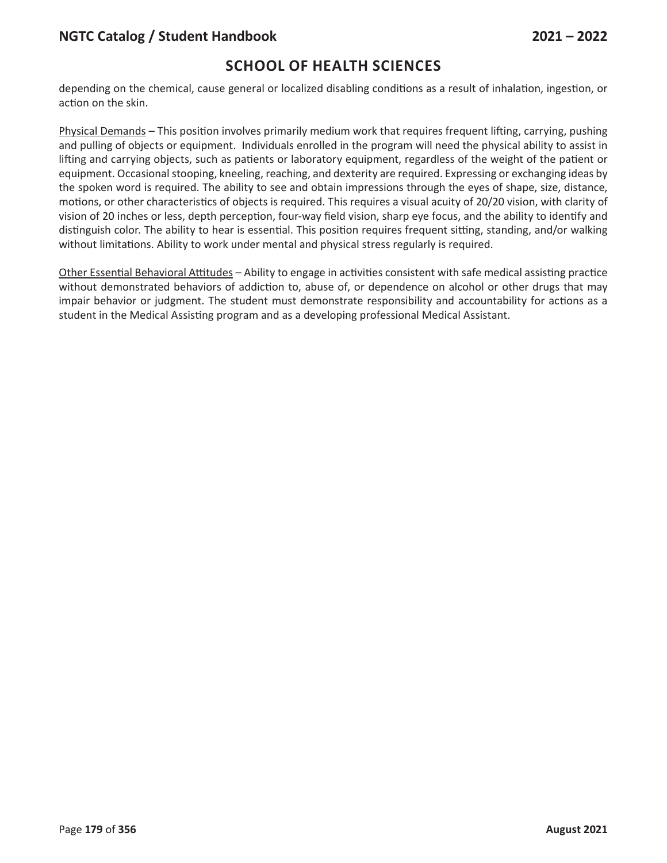depending on the chemical, cause general or localized disabling conditions as a result of inhalation, ingestion, or action on the skin.

Physical Demands – This position involves primarily medium work that requires frequent lifting, carrying, pushing and pulling of objects or equipment. Individuals enrolled in the program will need the physical ability to assist in lifting and carrying objects, such as patients or laboratory equipment, regardless of the weight of the patient or equipment. Occasional stooping, kneeling, reaching, and dexterity are required. Expressing or exchanging ideas by the spoken word is required. The ability to see and obtain impressions through the eyes of shape, size, distance, motions, or other characteristics of objects is required. This requires a visual acuity of 20/20 vision, with clarity of vision of 20 inches or less, depth perception, four-way field vision, sharp eye focus, and the ability to identify and distinguish color. The ability to hear is essential. This position requires frequent sitting, standing, and/or walking without limitations. Ability to work under mental and physical stress regularly is required.

Other Essential Behavioral Attitudes – Ability to engage in activities consistent with safe medical assisting practice without demonstrated behaviors of addiction to, abuse of, or dependence on alcohol or other drugs that may impair behavior or judgment. The student must demonstrate responsibility and accountability for actions as a student in the Medical Assisting program and as a developing professional Medical Assistant.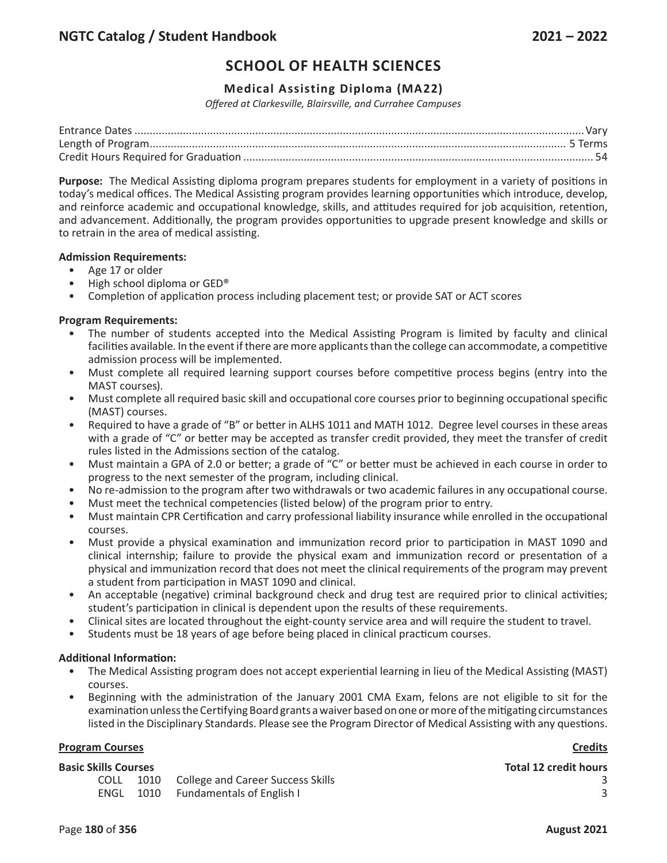### **Medical Assisting Diploma (MA22)**

*Offered at Clarkesville, Blairsville, and Currahee Campuses*

**Purpose:** The Medical Assisting diploma program prepares students for employment in a variety of positions in today's medical offices. The Medical Assisting program provides learning opportunities which introduce, develop, and reinforce academic and occupational knowledge, skills, and attitudes required for job acquisition, retention, and advancement. Additionally, the program provides opportunities to upgrade present knowledge and skills or to retrain in the area of medical assisting.

#### **Admission Requirements:**

- Age 17 or older
- High school diploma or GED®
- Completion of application process including placement test; or provide SAT or ACT scores

#### **Program Requirements:**

- The number of students accepted into the Medical Assisting Program is limited by faculty and clinical facilities available. In the event if there are more applicants than the college can accommodate, a competitive admission process will be implemented.
- Must complete all required learning support courses before competitive process begins (entry into the MAST courses).
- Must complete all required basic skill and occupational core courses prior to beginning occupational specific (MAST) courses.
- Required to have a grade of "B" or better in ALHS 1011 and MATH 1012. Degree level courses in these areas with a grade of "C" or better may be accepted as transfer credit provided, they meet the transfer of credit rules listed in the Admissions section of the catalog.
- Must maintain a GPA of 2.0 or better; a grade of "C" or better must be achieved in each course in order to progress to the next semester of the program, including clinical.
- No re-admission to the program after two withdrawals or two academic failures in any occupational course.
- Must meet the technical competencies (listed below) of the program prior to entry.
- Must maintain CPR Certification and carry professional liability insurance while enrolled in the occupational courses.
- Must provide a physical examination and immunization record prior to participation in MAST 1090 and clinical internship; failure to provide the physical exam and immunization record or presentation of a physical and immunization record that does not meet the clinical requirements of the program may prevent a student from participation in MAST 1090 and clinical.
- An acceptable (negative) criminal background check and drug test are required prior to clinical activities; student's participation in clinical is dependent upon the results of these requirements.
- Clinical sites are located throughout the eight-county service area and will require the student to travel.
- Students must be 18 years of age before being placed in clinical practicum courses.

#### **Additional Information:**

- The Medical Assisting program does not accept experiential learning in lieu of the Medical Assisting (MAST) courses.
- Beginning with the administration of the January 2001 CMA Exam, felons are not eligible to sit for the examination unless the Certifying Board grants a waiver based on one or more of the mitigating circumstances listed in the Disciplinary Standards. Please see the Program Director of Medical Assisting with any questions.

#### **Program Courses Credits**

### **Basic Skills Courses Total 12 credit hours**

COLL 1010 College and Career Success Skills 3<br>
ENGL 1010 Fundamentals of English I 3 **ENGL 1010 Fundamentals of English I 3** 3